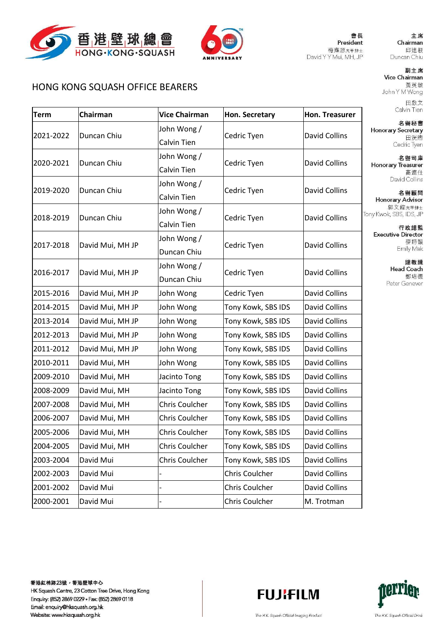



會長 President 梅應源太平紳士 David Y Y Mui, MH, JP 主席

### **HONG KONG SOUASH OFFICE BEARERS**

Chairman Term **Vice Chairman** Hon. Secretary Hon. Treasurer John Wong / Honorary Secretary 2021-2022 Duncan Chiu **David Collins** Cedric Tyen Calvin Tien John Wong / Duncan Chiu 2020-2021 Cedric Tyen David Collins **Calvin Tien** John Wong / 2019-2020 Duncan Chiu David Collins Cedric Tyen Calvin Tien John Wong/ Tony Kwok, SBS, IDS, JP 2018-2019 Duncan Chiu **David Collins** Cedric Tyen Calvin Tien John Wong/ 2017-2018 **David Collins** David Mui, MH JP Cedric Tyen Duncan Chiu John Wong/ 2016-2017 David Collins David Mui, MH JP Cedric Tyen Duncan Chiu 2015-2016 John Wong **David Collins** David Mui, MH JP Cedric Tyen 2014-2015 David Mui, MH JP Tony Kowk, SBS IDS **David Collins** John Wong 2013-2014 **David Collins** David Mui, MH JP John Wong Tony Kowk, SBS IDS 2012-2013 David Mui, MH JP John Wong Tony Kowk, SBS IDS David Collins 2011-2012 David Mui, MH JP John Wong Tony Kowk, SBS IDS **David Collins** 2010-2011 David Mui. MH Tony Kowk, SBS IDS David Collins John Wong 2009-2010 David Mui, MH Jacinto Tong Tony Kowk, SBS IDS **David Collins** 2008-2009 David Mui, MH Tony Kowk, SBS IDS **David Collins** Jacinto Tong 2007-2008 David Mui, MH **Chris Coulcher** Tony Kowk, SBS IDS **David Collins** 2006-2007 David Mui, MH Chris Coulcher Tony Kowk, SBS IDS **David Collins** 2005-2006 **Chris Coulcher** David Mui, MH Tony Kowk, SBS IDS **David Collins** 2004-2005 David Mui, MH **Chris Coulcher** Tony Kowk, SBS IDS **David Collins** 2003-2004 David Mui **Chris Coulcher** Tony Kowk, SBS IDS **David Collins** 2002-2003 David Mui **Chris Coulcher David Collins David Collins** 2001-2002 David Mui Chris Coulcher 2000-2001 David Mui **Chris Coulcher** M. Trotman

香港紅棉路23號,香港壁球中心 HK Squash Centre, 23 Cotton Tree Drive, Hong Kong Enquiry: (852) 2869 0229 · Fax: (852) 2869 0118 Email: enquiry@hksquash.org.hk Website: www.hksquash.org.hk





The H.K. Squash Official Imaging Product

The H.K. Squash Official Drink

Chairman 邱達根 Duncan Chiu

#### 副主席 Vice Chairman 黃英敏 John Y M Wong 田啟文

Calvin Tien 名譽秘書

田泮胸 Cedric Tyen

名譽司庫 Honorary Treasurer 高連仕 David Collins

名譽顧問 Honorary Advisor 郭文緯太平紳士

行政總監 **Executive Director** 麥詩韻 Emily Mak

> 總教練 **Head Coach** 鄭培德 Peter Genever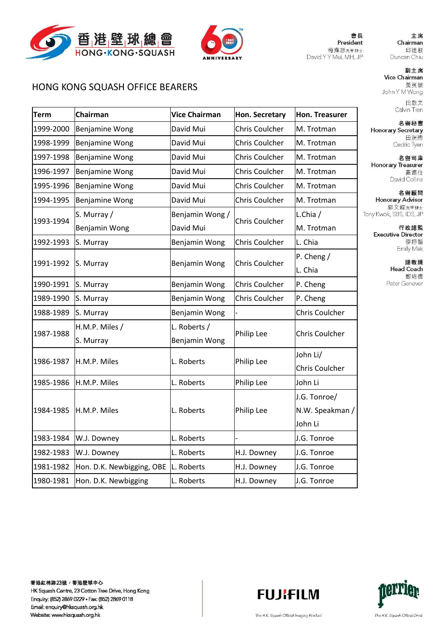



會長 President 梅應源太平紳士 David Y Y Mui, MH, JP

主席 Chairman 邱達根 Duncan Chiu

### 副主席 Vice Chairman 黃英敏 John Y M Wong

田啟文 Calvin Tien

名譽秘書 **Honorary Secretary** 田洸煦 Cedric Tyen

名譽司庫 **Honorary Treasurer** 高連仕 David Collins

名譽顧問 Honorary Advisor 郭文緯太平紳士 Tony Kwok, SBS, IDS, JP

> 行政總監 **Executive Director** 麥詩韻 Emily Mak

> > 總教練 **Head Coach** 鄭培德 Peter Genever

## HONG KONG SQUASH OFFICE BEARERS

| <b>Term</b> | Chairman                  | <b>Vice Chairman</b> | Hon. Secretary        | Hon. Treasurer        |  |
|-------------|---------------------------|----------------------|-----------------------|-----------------------|--|
| 1999-2000   | <b>Benjamine Wong</b>     | David Mui            | Chris Coulcher        | M. Trotman            |  |
| 1998-1999   | Benjamine Wong            | David Mui            | <b>Chris Coulcher</b> | M. Trotman            |  |
| 1997-1998   | Benjamine Wong            | David Mui            | <b>Chris Coulcher</b> | M. Trotman            |  |
| 1996-1997   | <b>Benjamine Wong</b>     | David Mui            | Chris Coulcher        | M. Trotman            |  |
| 1995-1996   | Benjamine Wong            | David Mui            | Chris Coulcher        | M. Trotman            |  |
| 1994-1995   | <b>Benjamine Wong</b>     | David Mui            | Chris Coulcher        | M. Trotman            |  |
| 1993-1994   | S. Murray /               | Benjamin Wong /      |                       | L.Chia /              |  |
|             | Benjamin Wong             | David Mui            | <b>Chris Coulcher</b> | M. Trotman            |  |
| 1992-1993   | S. Murray                 | Benjamin Wong        | Chris Coulcher        | L. Chia               |  |
| 1991-1992   | S. Murray                 | Benjamin Wong        | Chris Coulcher        | P. Cheng $/$          |  |
|             |                           |                      |                       | L. Chia               |  |
| 1990-1991   | S. Murray                 | Benjamin Wong        | Chris Coulcher        | P. Cheng              |  |
| 1989-1990   | S. Murray                 | Benjamin Wong        | <b>Chris Coulcher</b> | P. Cheng              |  |
| 1988-1989   | S. Murray                 | Benjamin Wong        |                       | <b>Chris Coulcher</b> |  |
| 1987-1988   | H.M.P. Miles /            | L. Roberts /         |                       |                       |  |
|             | S. Murray                 | Benjamin Wong        | Philip Lee            | <b>Chris Coulcher</b> |  |
| 1986-1987   | H.M.P. Miles              | L. Roberts           |                       | John Li/              |  |
|             |                           |                      | Philip Lee            | Chris Coulcher        |  |
| 1985-1986   | H.M.P. Miles              | L. Roberts           | Philip Lee            | John Li               |  |
| 1984-1985   | H.M.P. Miles              | L. Roberts           | Philip Lee            | J.G. Tonroe/          |  |
|             |                           |                      |                       | N.W. Speakman /       |  |
|             |                           |                      |                       | John Li               |  |
| 1983-1984   | W.J. Downey               | L. Roberts           |                       | J.G. Tonroe           |  |
| 1982-1983   | W.J. Downey               | L. Roberts           | H.J. Downey           | J.G. Tonroe           |  |
| 1981-1982   | Hon. D.K. Newbigging, OBE | L. Roberts           | H.J. Downey           | J.G. Tonroe           |  |
| 1980-1981   | Hon. D.K. Newbigging      | L. Roberts           | H.J. Downey           | J.G. Tonroe           |  |
|             |                           |                      |                       |                       |  |